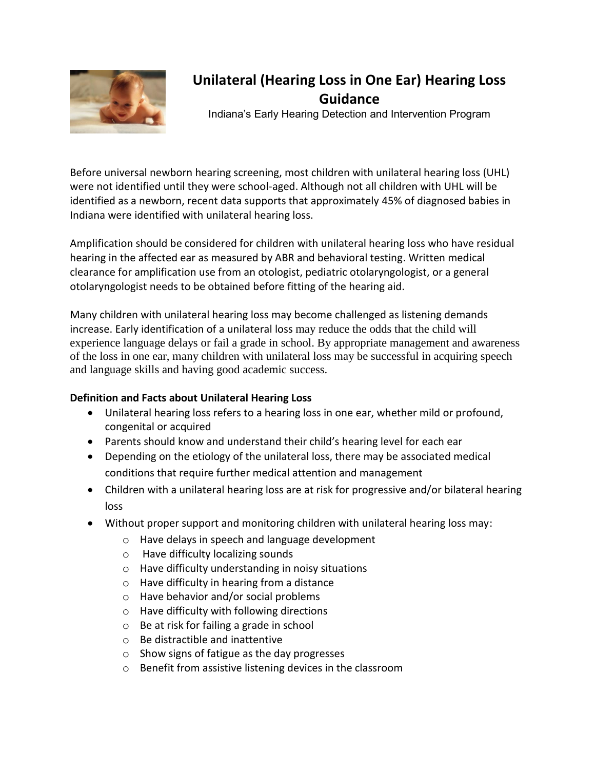

# **Unilateral (Hearing Loss in One Ear) Hearing Loss Guidance**

Indiana's Early Hearing Detection and Intervention Program

Before universal newborn hearing screening, most children with unilateral hearing loss (UHL) were not identified until they were school-aged. Although not all children with UHL will be identified as a newborn, recent data supports that approximately 45% of diagnosed babies in Indiana were identified with unilateral hearing loss.

Amplification should be considered for children with unilateral hearing loss who have residual hearing in the affected ear as measured by ABR and behavioral testing. Written medical clearance for amplification use from an otologist, pediatric otolaryngologist, or a general otolaryngologist needs to be obtained before fitting of the hearing aid.

Many children with unilateral hearing loss may become challenged as listening demands increase. Early identification of a unilateral loss may reduce the odds that the child will experience language delays or fail a grade in school. By appropriate management and awareness of the loss in one ear, many children with unilateral loss may be successful in acquiring speech and language skills and having good academic success.

## **Definition and Facts about Unilateral Hearing Loss**

- Unilateral hearing loss refers to a hearing loss in one ear, whether mild or profound, congenital or acquired
- Parents should know and understand their child's hearing level for each ear
- Depending on the etiology of the unilateral loss, there may be associated medical conditions that require further medical attention and management
- Children with a unilateral hearing loss are at risk for progressive and/or bilateral hearing loss
- Without proper support and monitoring children with unilateral hearing loss may:
	- o Have delays in speech and language development
	- o Have difficulty localizing sounds
	- o Have difficulty understanding in noisy situations
	- o Have difficulty in hearing from a distance
	- o Have behavior and/or social problems
	- o Have difficulty with following directions
	- o Be at risk for failing a grade in school
	- o Be distractible and inattentive
	- o Show signs of fatigue as the day progresses
	- o Benefit from assistive listening devices in the classroom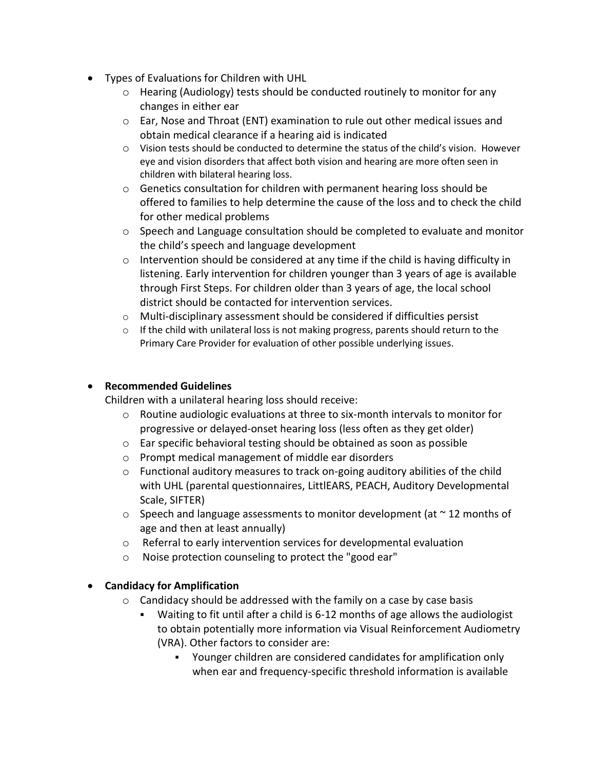- Types of Evaluations for Children with UHL
	- $\circ$  Hearing (Audiology) tests should be conducted routinely to monitor for any changes in either ear
	- o Ear, Nose and Throat (ENT) examination to rule out other medical issues and obtain medical clearance if a hearing aid is indicated
	- o Vision tests should be conducted to determine the status of the child's vision. However eye and vision disorders that affect both vision and hearing are more often seen in children with bilateral hearing loss.
	- $\circ$  Genetics consultation for children with permanent hearing loss should be offered to families to help determine the cause of the loss and to check the child for other medical problems
	- $\circ$  Speech and Language consultation should be completed to evaluate and monitor the child's speech and language development
	- $\circ$  Intervention should be considered at any time if the child is having difficulty in listening. Early intervention for children younger than 3 years of age is available through First Steps. For children older than 3 years of age, the local school district should be contacted for intervention services.
	- o Multi-disciplinary assessment should be considered if difficulties persist
	- $\circ$  If the child with unilateral loss is not making progress, parents should return to the Primary Care Provider for evaluation of other possible underlying issues.

## **Recommended Guidelines**

Children with a unilateral hearing loss should receive:

- o Routine audiologic evaluations at three to six-month intervals to monitor for progressive or delayed-onset hearing loss (less often as they get older)
- o Ear specific behavioral testing should be obtained as soon as possible
- o Prompt medical management of middle ear disorders
- $\circ$  Functional auditory measures to track on-going auditory abilities of the child with UHL (parental questionnaires, LittlEARS, PEACH, Auditory Developmental Scale, SIFTER)
- $\circ$  Speech and language assessments to monitor development (at  $\sim$  12 months of age and then at least annually)
- o Referral to early intervention services for developmental evaluation
- o Noise protection counseling to protect the "good ear"

## **Candidacy for Amplification**

- $\circ$  Candidacy should be addressed with the family on a case by case basis
	- Waiting to fit until after a child is 6-12 months of age allows the audiologist to obtain potentially more information via Visual Reinforcement Audiometry (VRA). Other factors to consider are:
		- Younger children are considered candidates for amplification only when ear and frequency-specific threshold information is available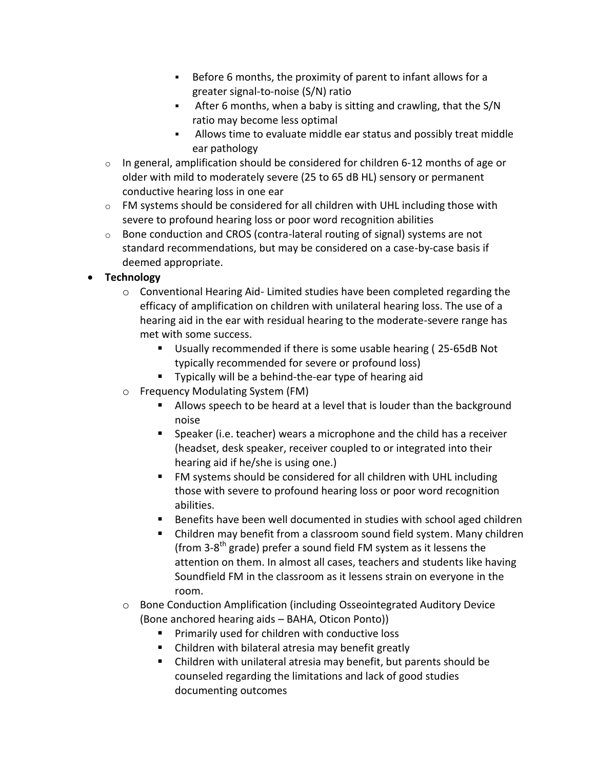- Before 6 months, the proximity of parent to infant allows for a greater signal-to-noise (S/N) ratio
- After 6 months, when a baby is sitting and crawling, that the S/N ratio may become less optimal
- Allows time to evaluate middle ear status and possibly treat middle ear pathology
- $\circ$  In general, amplification should be considered for children 6-12 months of age or older with mild to moderately severe (25 to 65 dB HL) sensory or permanent conductive hearing loss in one ear
- $\circ$  FM systems should be considered for all children with UHL including those with severe to profound hearing loss or poor word recognition abilities
- $\circ$  Bone conduction and CROS (contra-lateral routing of signal) systems are not standard recommendations, but may be considered on a case-by-case basis if deemed appropriate.

## **Technology**

- $\circ$  Conventional Hearing Aid- Limited studies have been completed regarding the efficacy of amplification on children with unilateral hearing loss. The use of a hearing aid in the ear with residual hearing to the moderate-severe range has met with some success.
	- Usually recommended if there is some usable hearing ( 25-65dB Not typically recommended for severe or profound loss)
	- **Typically will be a behind-the-ear type of hearing aid**
- o Frequency Modulating System (FM)
	- Allows speech to be heard at a level that is louder than the background noise
	- Speaker (i.e. teacher) wears a microphone and the child has a receiver (headset, desk speaker, receiver coupled to or integrated into their hearing aid if he/she is using one.)
	- **FM** systems should be considered for all children with UHL including those with severe to profound hearing loss or poor word recognition abilities.
	- Benefits have been well documented in studies with school aged children
	- Children may benefit from a classroom sound field system. Many children (from 3-8<sup>th</sup> grade) prefer a sound field FM system as it lessens the attention on them. In almost all cases, teachers and students like having Soundfield FM in the classroom as it lessens strain on everyone in the room.
- o Bone Conduction Amplification (including Osseointegrated Auditory Device (Bone anchored hearing aids – BAHA, Oticon Ponto))
	- **Primarily used for children with conductive loss**
	- Children with bilateral atresia may benefit greatly
	- Children with unilateral atresia may benefit, but parents should be counseled regarding the limitations and lack of good studies documenting outcomes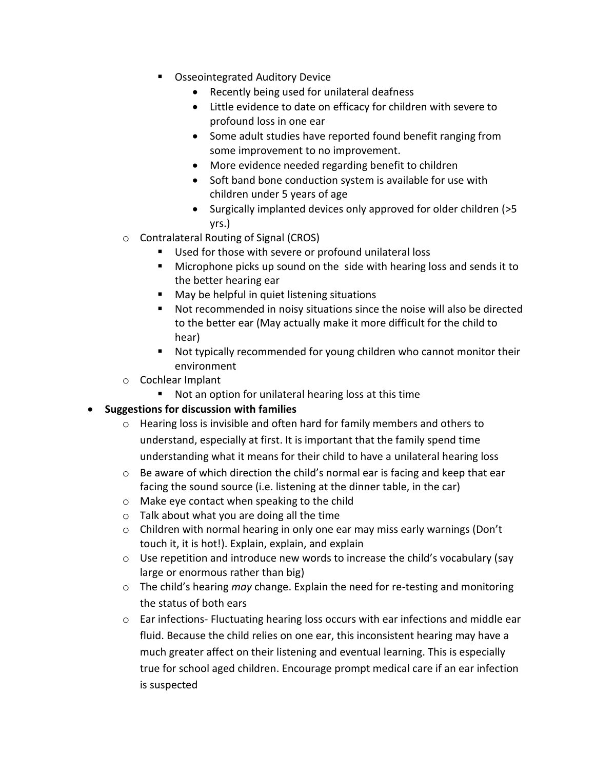- **Osseointegrated Auditory Device** 
	- Recently being used for unilateral deafness
	- Little evidence to date on efficacy for children with severe to profound loss in one ear
	- Some adult studies have reported found benefit ranging from some improvement to no improvement.
	- More evidence needed regarding benefit to children
	- Soft band bone conduction system is available for use with children under 5 years of age
	- Surgically implanted devices only approved for older children (>5 yrs.)
- o Contralateral Routing of Signal (CROS)
	- Used for those with severe or profound unilateral loss
	- Microphone picks up sound on the side with hearing loss and sends it to the better hearing ear
	- May be helpful in quiet listening situations
	- Not recommended in noisy situations since the noise will also be directed to the better ear (May actually make it more difficult for the child to hear)
	- Not typically recommended for young children who cannot monitor their environment
- o Cochlear Implant
	- Not an option for unilateral hearing loss at this time

## **Suggestions for discussion with families**

- o Hearing loss is invisible and often hard for family members and others to understand, especially at first. It is important that the family spend time understanding what it means for their child to have a unilateral hearing loss
- $\circ$  Be aware of which direction the child's normal ear is facing and keep that ear facing the sound source (i.e. listening at the dinner table, in the car)
- o Make eye contact when speaking to the child
- o Talk about what you are doing all the time
- o Children with normal hearing in only one ear may miss early warnings (Don't touch it, it is hot!). Explain, explain, and explain
- o Use repetition and introduce new words to increase the child's vocabulary (say large or enormous rather than big)
- o The child's hearing *may* change. Explain the need for re-testing and monitoring the status of both ears
- o Ear infections- Fluctuating hearing loss occurs with ear infections and middle ear fluid. Because the child relies on one ear, this inconsistent hearing may have a much greater affect on their listening and eventual learning. This is especially true for school aged children. Encourage prompt medical care if an ear infection is suspected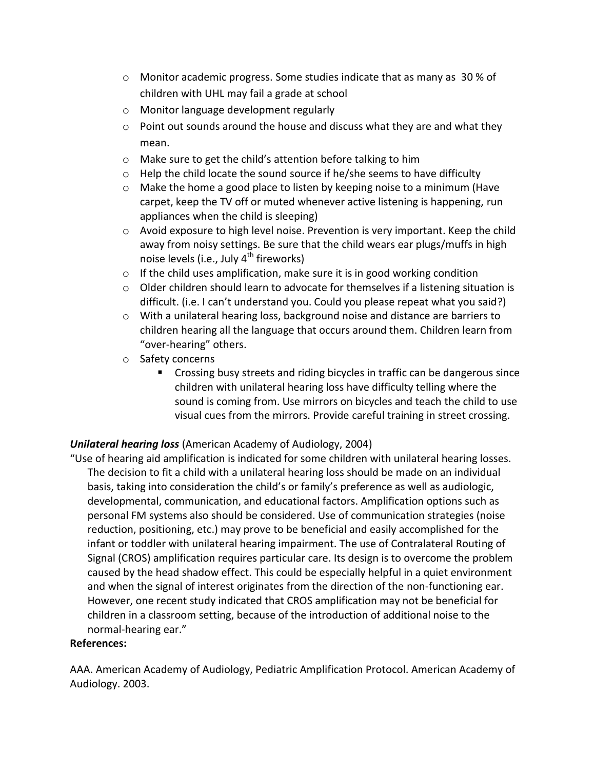- $\circ$  Monitor academic progress. Some studies indicate that as many as 30 % of children with UHL may fail a grade at school
- o Monitor language development regularly
- $\circ$  Point out sounds around the house and discuss what they are and what they mean.
- o Make sure to get the child's attention before talking to him
- o Help the child locate the sound source if he/she seems to have difficulty
- $\circ$  Make the home a good place to listen by keeping noise to a minimum (Have carpet, keep the TV off or muted whenever active listening is happening, run appliances when the child is sleeping)
- $\circ$  Avoid exposure to high level noise. Prevention is very important. Keep the child away from noisy settings. Be sure that the child wears ear plugs/muffs in high noise levels (i.e., July  $4^{th}$  fireworks)
- o If the child uses amplification, make sure it is in good working condition
- $\circ$  Older children should learn to advocate for themselves if a listening situation is difficult. (i.e. I can't understand you. Could you please repeat what you said?)
- o With a unilateral hearing loss, background noise and distance are barriers to children hearing all the language that occurs around them. Children learn from "over-hearing" others.
- o Safety concerns
	- Crossing busy streets and riding bicycles in traffic can be dangerous since children with unilateral hearing loss have difficulty telling where the sound is coming from. Use mirrors on bicycles and teach the child to use visual cues from the mirrors. Provide careful training in street crossing.

## *Unilateral hearing loss* (American Academy of Audiology, 2004)

"Use of hearing aid amplification is indicated for some children with unilateral hearing losses. The decision to fit a child with a unilateral hearing loss should be made on an individual basis, taking into consideration the child's or family's preference as well as audiologic, developmental, communication, and educational factors. Amplification options such as personal FM systems also should be considered. Use of communication strategies (noise reduction, positioning, etc.) may prove to be beneficial and easily accomplished for the infant or toddler with unilateral hearing impairment. The use of Contralateral Routing of Signal (CROS) amplification requires particular care. Its design is to overcome the problem caused by the head shadow effect. This could be especially helpful in a quiet environment and when the signal of interest originates from the direction of the non-functioning ear. However, one recent study indicated that CROS amplification may not be beneficial for children in a classroom setting, because of the introduction of additional noise to the normal-hearing ear."

## **References:**

AAA. American Academy of Audiology, Pediatric Amplification Protocol. American Academy of Audiology. 2003.